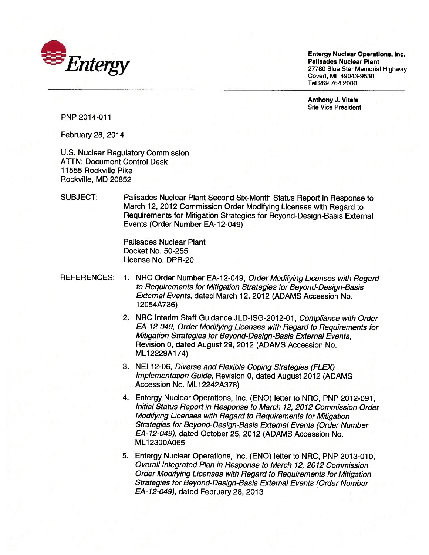

Entergy Nuclear Operations, Inc. Entergy Nuclear Operations, Inc. Covert, Ml 49043-9530 Covert, MI 49043-9530 Tel 269 764 2000 Tel 269 7642000 Palisades Nuclear Plant 27780 Blue Star Memorial Highway

Anthony J. Vitale Anthony J. Vitale Site Vice President Site Vice President

PNP 2014-011 PNP 2014-011

February 28, 2014 February 28, 2014

U.S. Nuclear Regulatory Commission ATTN: Document Control Desk ATTN: Document Control Desk 11555 Rockville Pike 11555 Rockville Pike Rockville, MD 20852 Rockville, MD 20852

SUBJECT: Palisades Nuclear Plant Second Six-Month Status Report in Response to March 12, 2012 Commission Order Modifying Licenses with Regard to March 12, 2012 Commission Order Modifying Licenses with Regard to Requirements for Mitigation Strategies for Beyond-Design-Basis External Requirements for Mitigation Strategies for Beyond-Design-Basis External Events (Order Number EA-12-049) Events (Order Number EA-12-049)

> Palisades Nuclear Plant Palisades Nuclear Plant Docket No. 50-255 Docket No. 50-255 License No. DPR-20 License No. DPR-20

- REFERENCES: 1. NRC Order Number EA-12-049, Order Modifying Licenses with Regard to Requirements for Mitigation Strategies for Beyond-Design-Basis to Requirements for Mitigation Strategies for 8eyond-Design-8asis External Events, dated March 12, 2012 (ADAMS Accession No. External Events, dated March 12, 2012 (ADAMS Accession No. <sup>1</sup> 2054A736) 12054A736)
	- 2. NRC Interim Staff Guidance JLD-ISG-2012-01, Compliance with Order 2. NRC Interim Staff Guidance JLD-ISG-2012-01, Compliance with Order EA-12-049, Order Modifying Licenses with Regard to Requirements for EA-12-049, Order Modifying Licenses with Regard to Requirements for Mitigation Strategies for Beyond-Design-Basis External Events, Mitigation Strategies for 8eyond-Design-8asis External Events, Revision 0, dated August 29, 2012 (ADAMS Accession No. Revision 0, dated August 29, 2012 (ADAMS Accession No. ML12229A174) ML 12229A174)
	- 3. NEI 12-06, Diverse and Flexible Coping Strategies (FLEX) 3. NEI 12-06, Diverse and Flexible Coping Strategies (FLEX) implementation Guide, Revision 0, dated August 2012 (ADAMS Implementation Guide, Revision 0, dated August 2012 (ADAMS Accession No. ML1 2242A378) Accession No. ML 12242A378)
	- 4. Entergy Nuclear Operations, Inc. (ENO) letter to NRC, PNP 2012-091, 4. Entergy Nuclear Operations, Inc. (ENO) letter to NRC, PNP 2012-091, Initial Status Report in Response to March 12, 2012 Commission Order Initial Status Report in Response to March 12,2012 Commission Order Modifying Licenses with Regard to Requirements for Mitigation Modifying Licenses with Regard to Requirements for Mitigation Strategies for Beyond-Design-Basis External Events (Order Number Strategies for 8eyond-Design-8asis External Events (Order Number EA-12-049), dated October 25, 2012 (ADAMS Accession No. EA-12-049), dated October 25,2012 (ADAMS Accession No. ML1 2300A065 ML 12300A065
	- 5. Entergy Nuclear Operations, Inc. (ENO) letter to NRC, PNP 2013-010, Overall Integrated Plan in Response to March 12, 2012 Commission Overall Integrated Plan in Response to March 12,2012 Commission Order Modifying Licenses with Regard to Requirements for Mitigation Order Modifying Licenses with Regard to Requirements for Mitigation Strategies for Beyond-Design-Basis External Events (Order Number Strategies for 8eyond-Design-8asis External Events (Order Number EA-12-049), dated February 28, 2013 EA-12-049), dated February 28,2013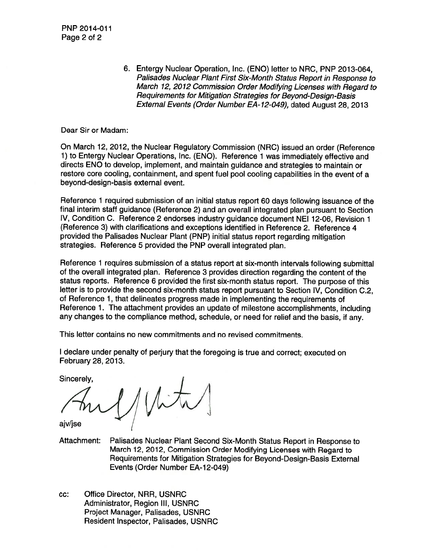6. Entergy Nuclear Operation, Inc. (ENO) letter to NRC, PNP 2013-064, Pailsades Nuclear Plant First Six-Month Status Report in Response to Palisades Nuclear Plant First Six-Month Status Report in Response to March 12, 2012 Commission Order Modifying Licenses with Regard to Requirements for Mitigation Strategies for Beyond-Design-Basis Requirements for Mitigation Strategies for Beyond-Design-Basis External Events (Order Number EA- 12-049), dated August 28, 2013 External Events (Order Number EA-12-049), dated August 28,2013

Dear Sir or Madam: Dear Sir or Madam:

On March 12, 2012, the Nuclear Regulatory Commission (NRC) issued an order (Reference On March 12, 2012, the Nuclear Regulatory Commission (NRC) issued an order (Reference 1) to Entergy Nuclear Operations, Inc. (ENO). Reference <sup>1</sup> was immediately effective and 1) to Entergy Nuclear Operations, Inc. (ENO). Reference 1 was immediately effective and directs ENO to develop, implement, and maintain guidance and strategies to maintain or directs ENO to develop, implement, and maintain guidance and strategies to maintain or restore core cooling, containment, and spent fuel pool cooling capabilities in the event of a restore core cooling, containment, and spent fuel pool cooling capabilities in the event of a beyond-design-basis external event. beyond-design-basis external event.

Reference <sup>1</sup> required submission of an initial status report 60 days following issuance of the Reference 1 required submission of an initial status report 60 days following issuance of the final interim staff guidance (Reference 2) and an overall integrated plan pursuant to Section final interim staff guidance (Reference 2) and an overall integrated plan pursuant to Section IV, Condition C. Reference 2 endorses industry guidance document NEI 12-06, Revision <sup>1</sup> IV, Condition C. Reference 2 endorses industry guidance document NEI12-06, Revision 1 (Reference 3) with clarifications and exceptions identified in Reference 2. Reference 4 (Reference 3) with clarifications and exceptions identified in Reference 2. Reference 4 provided the Palisades Nuclear Plant (PNP) initial status report regarding mitigation provided the Palisades Nuclear Plant (PNP) initial status report regarding mitigation strategies. Reference 5 provided the PNP overall integrated plan. strategies. Reference 5 provided the PNP overall integrated plan.

Reference <sup>1</sup> requires submission of a status report at six-month intervals following submittal Reference 1 requires submission of a status report at six-month intervals following submittal of the overall integrated plan. Reference 3 provides direction regarding the content of the status reports. Reference 6 provided the first six-month status report. The purpose of this status reports. Reference 6 provided the first six-month status report. The purpose of this letter is to provide the second six-month status report pursuant to Section IV, Condition C.2, letter is to provide the second six-month status report pursuant to Section IV, Condition C.2, of Reference 1, that delineates progress made in implementing the requirements of Reference 1. The attachment provides an update of milestone accomplishments, including Reference 1. The attachment provides an update of milestone accomplishments, including any changes to the compliance method, schedule, or need for relief and the basis, if any. any changes to the compliance method, schedule, or need for relief and the basis, if any.

This letter contains no new commitments and no revised commitments. This letter contains no new commitments and no revised commitments.

<sup>I</sup> declare under penalty of perjury that the foregoing is true and correct; executed on I declare under penalty of perjury that the foregoing is true and correct; executed on February 28, 2013. February 28, 2013.

Sincerely, Sincerely,

 $1/W_t$ 

ajv/jse ajv/jse

Attachment: Palisades Nuclear Plant Second Six-Month Status Report in Response to Attachment: Palisades Nuclear Plant Second Six-Month Status Report in Response to March 12, 2012, Commission Order Modifying Licenses with Regard to March 12, 2012, Commission Order Modifying Licenses with Regard to Requirements for Mitigation Strategies for Beyond-Design-Basis External Requirements for Mitigation Strategies for Beyond-Design-Basis External Events (Order Number EA-12-049) Events (Order Number EA-12-049)

cc: Office Director, NRR, USNRC cc: Office Director, NRR, USNRC Administrator, Region Ill, USNRC Administrator, Region III, USNRC Project Manager, Palisades, USNRC Project Manager, Palisades, USNRC Resident Inspector, Palisades, USNRC Resident Inspector, Palisades, USNRC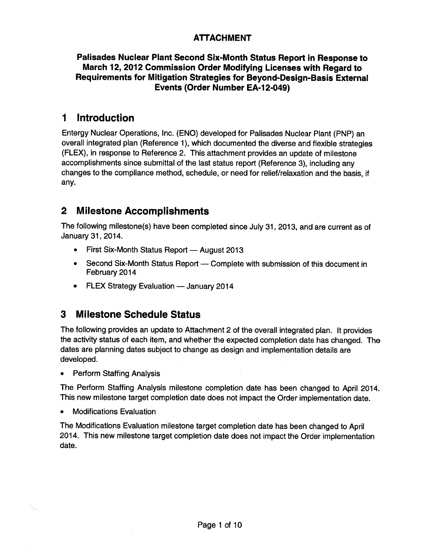### ATTACHMENT **ATTACHMENT**

#### Palisades Nuclear Plant Second Six-Month Status Report in Response to **Palisades Nuclear Plant Second Six-Month Status Report in Response to**  March 12, 2012 Commission Order Modifying Licenses with Regard to **March 12,2012 Commission Order Modifying Licenses with Regard to**  Requirements for Mitigation Strategies for Beyond-Design-Basis External **Requirements for Mitigation Strategies for Beyond-Design-Basis External**  Events (Order Number EA-1 2-049) **Events (Order Number EA-12-049)**

# 1 Introduction **1 Introduction**

Entergy Nuclear Operations, Inc. (END) developed for Palisades Nuclear Plant (PNP) an Entergy Nuclear Operations, Inc. (ENO) developed for Palisades Nuclear Plant (PNP) an overall integrated plan (Reference 1), which documented the diverse and flexible strategies overall integrated plan (Reference 1), which documented the diverse and flexible strategies (FLEX), in response to Reference 2. This attachment provides an update of milestone (FLEX), in response to Reference 2. This attachment provides an update of milestone accomplishments since submittal of the last status report (Reference 3), including any accomplishments since submittal of the last status report (Reference 3), including any changes to the compliance method, schedule, or need for relief/relaxation and the basis, if changes to the compliance method, schedule, or need for relief/relaxation and the basis, if any. any.

# 2 Milestone Accomplishments **2 Milestone Accomplishments**

The following milestone(s) have been completed since July 31, 2013, and are current as of The following milestone(s) have been completed since July 31, 2013, and are current as of January 31, 2014. January 31,2014.

- First Six-Month Status Report August 2013
- Second Six-Month Status Report Complete with submission of this document in February 2014 February 2014
- **FLEX Strategy Evaluation January 2014**

## 3 Milestone Schedule Status **3 Milestone Schedule Status**

The following provides an update to Attachment 2 of the overall integrated plan. It provides The following provides an update to Attachment 2 of the overall integrated plan. It provides the activity status of each item, and whether the expected completion date has changed. The the activity status of each item, and whether the expected completion date has changed. The dates are planning dates subject to change as design and implementation details are dates are planning dates subject to change as design and implementation details are developed. developed.

• Perform Staffing Analysis

The Perform Staffing Analysis milestone completion date has been changed to April 2014. The Perform Staffing Analysis milestone completion date has been changed to April 2014. This new milestone target completion date does not impact the Order implementation date. This new milestone target completion date does not impact the Order implementation date.

• Modifications Evaluation • Modifications Evaluation

 $\overline{\phantom{a}}$ 

The Modifications Evaluation milestone target completion date has been changed to April The Modifications Evaluation milestone target completion date has been changed to April 2014. This new milestone target completion date does not impact the Order implementation 2014. This new milestone target completion date does not impact the Order implementation date. date.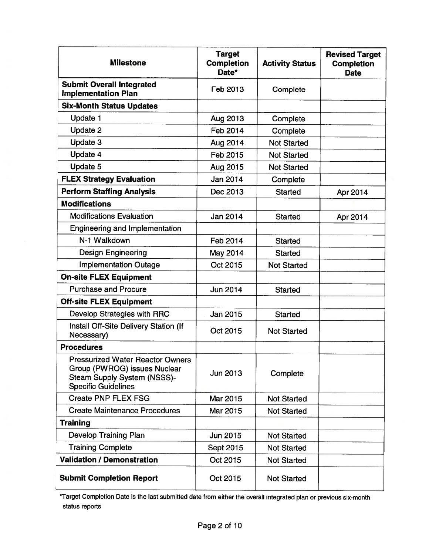| <b>Milestone</b>                                                                                                                     | <b>Target</b><br><b>Completion</b><br>Date* | <b>Activity Status</b> | <b>Revised Target</b><br><b>Completion</b><br><b>Date</b> |
|--------------------------------------------------------------------------------------------------------------------------------------|---------------------------------------------|------------------------|-----------------------------------------------------------|
| <b>Submit Overall Integrated</b><br><b>Implementation Plan</b>                                                                       | Feb 2013                                    | Complete               |                                                           |
| <b>Six-Month Status Updates</b>                                                                                                      |                                             |                        |                                                           |
| <b>Update 1</b>                                                                                                                      | Aug 2013                                    | Complete               |                                                           |
| Update 2                                                                                                                             | Feb 2014                                    | Complete               |                                                           |
| Update 3                                                                                                                             | Aug 2014                                    | <b>Not Started</b>     |                                                           |
| Update 4                                                                                                                             | Feb 2015                                    | <b>Not Started</b>     |                                                           |
| Update 5                                                                                                                             | Aug 2015                                    | <b>Not Started</b>     |                                                           |
| <b>FLEX Strategy Evaluation</b>                                                                                                      | Jan 2014                                    | Complete               |                                                           |
| <b>Perform Staffing Analysis</b>                                                                                                     | Dec 2013                                    | <b>Started</b>         | Apr 2014                                                  |
| <b>Modifications</b>                                                                                                                 |                                             |                        |                                                           |
| <b>Modifications Evaluation</b>                                                                                                      | Jan 2014                                    | <b>Started</b>         | Apr 2014                                                  |
| <b>Engineering and Implementation</b>                                                                                                |                                             |                        |                                                           |
| N-1 Walkdown                                                                                                                         | Feb 2014                                    | <b>Started</b>         |                                                           |
| <b>Design Engineering</b>                                                                                                            | May 2014                                    | <b>Started</b>         |                                                           |
| <b>Implementation Outage</b>                                                                                                         | Oct 2015                                    | <b>Not Started</b>     |                                                           |
| <b>On-site FLEX Equipment</b>                                                                                                        |                                             |                        |                                                           |
| <b>Purchase and Procure</b>                                                                                                          | <b>Jun 2014</b>                             | <b>Started</b>         |                                                           |
| <b>Off-site FLEX Equipment</b>                                                                                                       |                                             |                        |                                                           |
| Develop Strategies with RRC                                                                                                          | Jan 2015                                    | <b>Started</b>         |                                                           |
| Install Off-Site Delivery Station (If<br>Necessary)                                                                                  | Oct 2015                                    | <b>Not Started</b>     |                                                           |
| <b>Procedures</b>                                                                                                                    |                                             |                        |                                                           |
| <b>Pressurized Water Reactor Owners</b><br>Group (PWROG) issues Nuclear<br>Steam Supply System (NSSS)-<br><b>Specific Guidelines</b> | Jun 2013                                    | Complete               |                                                           |
| <b>Create PNP FLEX FSG</b>                                                                                                           | Mar 2015                                    | <b>Not Started</b>     |                                                           |
| <b>Create Maintenance Procedures</b>                                                                                                 | Mar 2015                                    | <b>Not Started</b>     |                                                           |
| <b>Training</b>                                                                                                                      |                                             |                        |                                                           |
| <b>Develop Training Plan</b>                                                                                                         | Jun 2015                                    | <b>Not Started</b>     |                                                           |
| <b>Training Complete</b>                                                                                                             | <b>Sept 2015</b>                            | <b>Not Started</b>     |                                                           |
| <b>Validation / Demonstration</b>                                                                                                    | Oct 2015                                    | <b>Not Started</b>     |                                                           |
| <b>Submit Completion Report</b>                                                                                                      | Oct 2015                                    | <b>Not Started</b>     |                                                           |

\*Target Completion Date is the last submitted date from either the overall integrated plan or previous six-month status reports status reports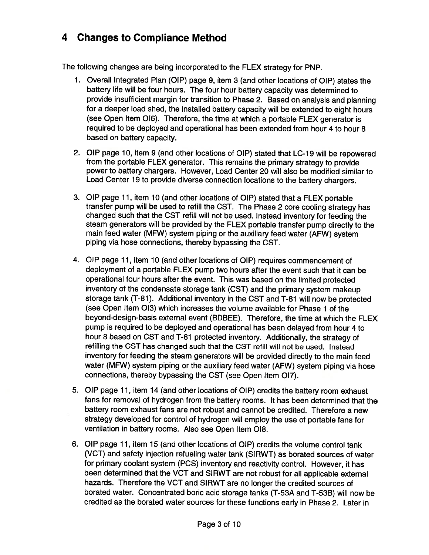# 4 Changes to Compliance Method **4 Changes to Compliance Method**

The following changes are being incorporated to the FLEX strategy for PNP. The following changes are being incorporated to the FLEX strategy for PNP.

- 1. Overall Integrated Plan (OIP) page 9, item 3 (and other locations of DIP) states the 1. Overall Integrated Plan (OIP) page 9, item 3 (and other locations of OIP) states the battery life will be four hours. The four hour battery capacity was determined to battery life will be four hours. The four hour battery capacity was determined to provide insufficient margin for transition to Phase 2. Based on analysis and planning provide insufficient margin for transition to Phase 2. Based on analysis and planning for a deeper load shed, the installed battery capacity will be extended to eight hours for a deeper load shed, the installed battery capacity will be extended to eight hours (see Open Item 016). Therefore, the time at which a portable FLEX generator is (see Open Item 016). Therefore, the time at which a portable FLEX generator is required to be deployed and operational has been extended from hour 4 to hour 8 required to be deployed and operational has been extended from hour 4 to hour 8 based on battery capacity. based on battery capacity.
- 2. OIP page 10, item 9 (and other locations of DIP) stated that LC-19 will be repowered 2. OIP page 10, item 9 (and other locations of DIP) stated that LC-19 will be repowered from the portable FLEX generator. This remains the primary strategy to provide from the portable FLEX generator. This remains the primary strategy to provide power to battery chargers. However, Load Center 20 will also be modified similar to power to battery chargers. However, Load Center 20 will also be modified similar to Load Center 19 to provide diverse connection locations to the battery chargers. Load Center 19 to provide diverse connection locations to the battery chargers.
- 3. QIP page 11, item 10 (and other locations of OIP) stated that a FLEX portable 3. OIP page 11, item 10 (and other locations of OIP) stated that a FLEX portable transfer pump will be used to refill the CST. The Phase 2 core cooling strategy has transfer pump will be used to refill the CST. The Phase 2 core cooling strategy has changed such that the CST refill will not be used. Instead inventory for feeding the changed such that the CST refill will not be used. Instead inventory for feeding the steam generators will be provided by the FLEX portable transfer pump directly to the steam generators will be provided by the FLEX portable transfer pump directly to the main feed water (MFW) system piping or the auxiliary feed water (AFW) system main feed water (MFW) system piping or the auxiliary feed water (AFW) system piping via hose connections, thereby bypassing the CST. piping via hose connections, thereby bypassing the CST.
- 4. DIP page 11, item 10 (and other locations of DIP) requires commencement of 4. OIP page 11, item 10 (and other locations of OIP) requires commencement of deployment of a portable FLEX pump two hours after the event such that it can be deployment of a portable FLEX pump two hours after the event such that it can be operational four hours after the event. This was based on the limited protected operational four hours after the event. This was based on the limited protected inventory of the condensate storage tank (CST) and the primary system makeup inventory of the condensate storage tank (CST) and the primary system makeup storage tank (T-81). Additional inventory in the CST and T-81 will now be protected storage tank (T-81). Additional inventory in the CST and T-81 will now be protected (see Open Item 013) which increases the volume available for Phase <sup>1</sup> of the (see Open Item 013) which increases the volume available for Phase 1 of the beyond-design-basis external event (BDBEE). Therefore, the time at which the FLEX beyond-design-basis external event (BDBEE). Therefore, the time at which the FLEX pump is required to be deployed and operational has been delayed from hour 4 to pump is required to be deployed and operational has been delayed from hour 4 to hour 8 based on CST and T-81 protected inventory. Additionally, the strategy of hour 8 based on CST and T-81 protected inventory. Additionally, the strategy of refilling the CST has changed such that the CST refill will not be used. Instead inventory for feeding the steam generators will be provided directly to the main feed inventory for feeding the steam generators will be provided directly to the main feed water (MFW) system piping or the auxiliary feed water (AFW) system piping via hose water (MFW) system piping or the auxiliary feed water (AFW) system piping via hose connections, thereby bypassing the CST (see Open Item 017). connections, thereby bypassing the CST (see Open Item 017).
- 5. DIP page 11, item 14 (and other locations of DIP) credits the battery room exhaust 5. OIP page 11, item 14 (and other locations of OIP) credits the battery room exhaust fans for removal of hydrogen from the battery rooms. It has been determined that the fans for removal of hydrogen from the battery rooms. It has been determined that the battery room exhaust fans are not robust and cannot be credited. Therefore a new battery room exhaust fans are not robust and cannot be credited. Therefore a new strategy developed for control of hydrogen will employ the use of portable fans for strategy developed for control of hydrogen will employ the use of portable fans for ventilation in battery rooms. Also see Open Item 018. ventilation in battery rooms. Also see Open Item 018.
- 6. OIP page 11, item 15 (and other locations of DIP) credits the volume control tank 6. OIP page 11, item 15 (and other locations of DIP) credits the volume control tank (VCT) and safety injection refueling water tank (SIRWT) as borated sources of water (VCT) and safety injection refueling water tank (SIRWT) as borated sources of water for primary coolant system (PCS) inventory and reactivity control. However, it has for primary coolant system (PCS) inventory and reactivity control. However, it has been determined that the VCT and SIRWT are not robust for all applicable external been determined that the VCT and SIRWT are not robust for all applicable external hazards. Therefore the VCT and SIRWT are no longer the credited sources of hazards. Therefore the VCT and SIRWT are no longer the credited sources of borated water. Concentrated boric acid storage tanks (T-53A and T-53B) will now be borated water. Concentrated boric acid storage tanks (T-53A and T-53B) will now be credited as the borated water sources for these functions early in Phase 2. Later in credited as the borated water sources for these functions early in Phase 2. Later in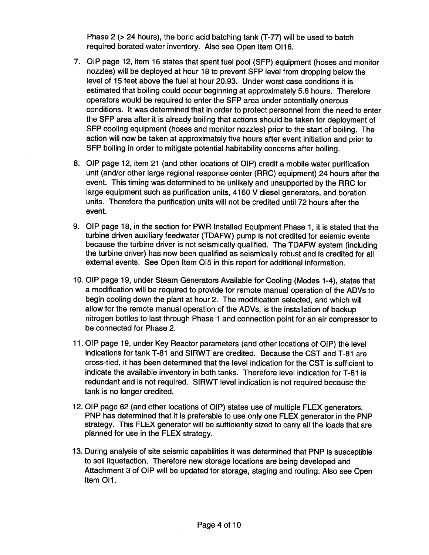Phase 2 (>24 hours), the boric acid batching tank (T-77) will be used to batch Phase 2 (> 24 hours), the boric acid batching tank (T-77) will be used to batch required borated water inventory. Also see Open Item 0116. required borated water inventory. Also see Open Item 0116.

- 7. OIP page 12, item 16 states that spent fuel pool (SFP) equipment (hoses and monitor nozzles) will be deployed at hour 18 to prevent SEP level from dropping below the nozzles) will be deployed at hour 18 to prevent SFP level from dropping below the level of 15 feet above the fuel at hour 20.93. Under worst case conditions it is level of 15 feet above the fuel at hour 20.93. Under worst case conditions it is estimated that boiling could occur beginning at approximately 5.6 hours. Therefore operators would be required to enter the SFP area under potentially onerous operators would be required to enter the SFP area under potentially onerous conditions. It was determined that in order to protect personnel from the need to enter conditions. It was determined that in order to protect personnel from the need to enter the SFP area after it is already boiling that actions should be taken for deployment of the SFP area after it is already boiling that actions should be taken for deployment of SEP cooling equipment (hoses and monitor nozzles) prior to the start of boiling. The SFP cooling equipment (hoses and monitor nozzles) prior to the start of boiling. The action will now be taken at approximately five hours after event initiation and prior to action will now be taken at approximately five hours after event initiation and prior to SEP boiling in order to mitigate potential habitability concerns after boiling. SFP boiling in order to mitigate potential habitability concerns after boiling.
- 8. OIP page 12, item 21 (and other locations of OIP) credit a mobile water purification 8. OIP page 12, item 21 (and other locations of OIP) credit a mobile water purification unit (and/or other large regional response center (RRC) equipment) 24 hours after the unit (and/or other large regional response center (RRC) equipment) 24 hours after the event. This timing was determined to be unlikely and unsupported by the RRC for large equipment such as purification units, 4160 V diesel generators, and boration large equipment such as purification units, 4160 V diesel generators, and boration units. Therefore the purification units will not be credited until 72 hours after the units. Therefore the purification units will not be credited until 72 hours after the event. event.
- 9. OIP page 18, in the section for PWR Installed Equipment Phase 1, it is stated that the 9. OIP page 18, in the section for PWR Installed Equipment Phase 1, it is stated that the turbine driven auxiliary feedwater (TDAFW) pump is not credited for seismic events turbine driven auxiliary feedwater (TDAFW) pump is not credited for seismic events because the turbine driver is not seismically qualified. The TDAEW system (including because the turbine driver is not seismically qualified. The TDAFW system (including the turbine driver) has now been qualified as seismically robust and is credited for all the turbine driver) has now been qualified as seismically robust and is credited for all external events. See Open Item 015 in this report for additional information. external events. See Open Item 015 in this report for additional information.
- 10. DIP page 19, under Steam Generators Available for Cooling (Modes 1-4), states that 10. OIP page 19, under Steam Generators Available for Cooling (Modes 1-4), states that a modification will be required to provide for remote manual operation of the ADVs to a modification will be required to provide for remote manual operation of the ADVs to begin cooling down the plant at hour 2. The modification selected, and which will begin cooling down the plant at hour 2. The modification selected, and which will allow for the remote manual operation of the ADVs, is the installation of backup allow for the remote manual operation of the ADVs, is the installation of backup nitrogen bottles to last through Phase <sup>1</sup> and connection point for an air compressor to nitrogen bottles to last through Phase 1 and connection point for an air compressor to be connected for Phase 2. be connected for Phase 2.
- 11. OIP page 19, under Key Reactor parameters (and other locations of DIP) the level 11. OIP page 19, under Key Reactor parameters (and other locations of OIP) the level indications for tank T-81 and SIRWT are credited. Because the CST and T-81 are indications for tank T-81 and SIRWT are credited. Because the CST and T-81 are cross-tied, it has been determined that the level indication for the CST is sufficient to cross-tied, it has been determined that the level indication for the CST is sufficient to indicate the available inventory in both tanks. Therefore level indication for T-81 is indicate the available inventory in both tanks. Therefore level indication for T-81 is redundant and is not required. SIRWT level indication is not required because the redundant and is not required. SIRWT level indication is not required because the tank is no longer credited. tank is no longer credited.
- 12. DIP page 62 (and other locations of DIP) states use of multiple ELEX generators. 12. OIP page 62 (and other locations of OIP) states use of multiple FLEX generators. PNP has determined that it is preferable to use only one FLEX generator in the PNP strategy. This FLEX generator will be sufficiently sized to carry all the loads that are strategy. This FLEX generator will be sufficiently sized to carry all the loads that are planned for use in the FLEX strategy. planned for use in the FLEX strategy.
- 13. During analysis of site seismic capabilities it was determined that PNP is susceptible 13. During analysis of site seismic capabilities it was determined that PNP is susceptible to soil liquefaction. Therefore new storage locations are being developed and to soil liquefaction. Therefore new storage locations are being developed and Attachment 3 of DIP will be updated for storage, staging and routing. Also see Open Attachment 3 of OIP will be updated for storage, staging and routing. Also see Open Item OIl. Item 011.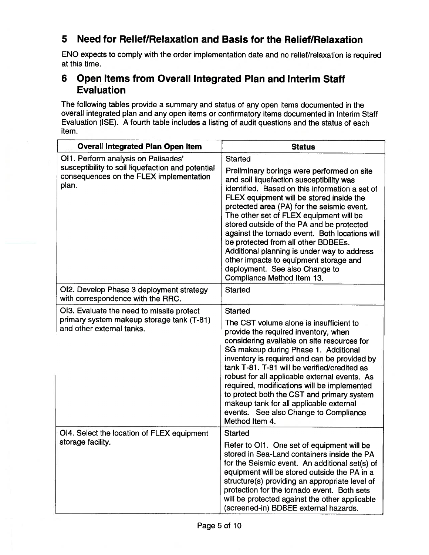# 5 Need for Relief/Relaxation and Basis for the Relief/Relaxation **5 Need for Relief/Relaxation and Basis for the Relief/Relaxation**

ENO expects to comply with the order implementation date and no relief/relaxation is required ENO expects to comply with the order implementation date and no relief/relaxation is required at this time. at this time.

## 6 Open Items from Overall Integrated Plan and Interim Staff **6 Open Items from** Overall Integrated **Plan and Interim Staff**  Evaluation **Evaluation**

The following tables provide a summary and status of any open items documented in the The following tables provide a summary and status of any open items documented in the overall integrated plan and any open items or confirmatory items documented in Interim Staff Evaluation (ISE). A fourth table includes a listing of audit questions and the status of each Evaluation (ISE). A fourth table includes a listing of audit questions and the status of each item. item.

| <b>Overall integrated Plan Open Item</b>                                                                                                     | <b>Status</b>                                                                                                                                                                                                                                                                                                                                                                                                                                                                                                                                                                                  |
|----------------------------------------------------------------------------------------------------------------------------------------------|------------------------------------------------------------------------------------------------------------------------------------------------------------------------------------------------------------------------------------------------------------------------------------------------------------------------------------------------------------------------------------------------------------------------------------------------------------------------------------------------------------------------------------------------------------------------------------------------|
| OI1. Perform analysis on Palisades'<br>susceptibility to soil liquefaction and potential<br>consequences on the FLEX implementation<br>plan. | <b>Started</b><br>Preliminary borings were performed on site<br>and soil liquefaction susceptibility was<br>identified. Based on this information a set of<br>FLEX equipment will be stored inside the<br>protected area (PA) for the seismic event.<br>The other set of FLEX equipment will be<br>stored outside of the PA and be protected<br>against the tornado event. Both locations will<br>be protected from all other BDBEEs.<br>Additional planning is under way to address<br>other impacts to equipment storage and<br>deployment. See also Change to<br>Compliance Method Item 13. |
| OI2. Develop Phase 3 deployment strategy<br>with correspondence with the RRC.                                                                | <b>Started</b>                                                                                                                                                                                                                                                                                                                                                                                                                                                                                                                                                                                 |
| OI3. Evaluate the need to missile protect<br>primary system makeup storage tank (T-81)<br>and other external tanks.                          | <b>Started</b><br>The CST volume alone is insufficient to<br>provide the required inventory, when<br>considering available on site resources for<br>SG makeup during Phase 1. Additional<br>inventory is required and can be provided by<br>tank T-81. T-81 will be verified/credited as<br>robust for all applicable external events. As<br>required, modifications will be implemented<br>to protect both the CST and primary system<br>makeup tank for all applicable external<br>events. See also Change to Compliance<br>Method Item 4.                                                   |
| OI4. Select the location of FLEX equipment<br>storage facility.                                                                              | <b>Started</b><br>Refer to OI1. One set of equipment will be<br>stored in Sea-Land containers inside the PA<br>for the Seismic event. An additional set(s) of<br>equipment will be stored outside the PA in a<br>structure(s) providing an appropriate level of<br>protection for the tornado event. Both sets<br>will be protected against the other applicable<br>(screened-in) BDBEE external hazards.                                                                                                                                                                                      |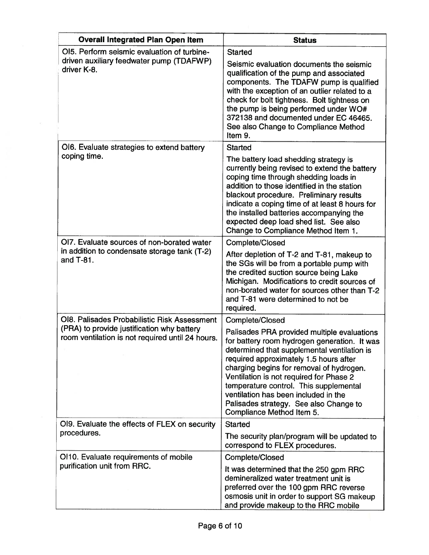| <b>Overall Integrated Plan Open Item</b>                                                                                                       | <b>Status</b>                                                                                                                                                                                                                                                                                                                                                                                                                                           |
|------------------------------------------------------------------------------------------------------------------------------------------------|---------------------------------------------------------------------------------------------------------------------------------------------------------------------------------------------------------------------------------------------------------------------------------------------------------------------------------------------------------------------------------------------------------------------------------------------------------|
| OI5. Perform seismic evaluation of turbine-<br>driven auxiliary feedwater pump (TDAFWP)<br>driver K-8.                                         | <b>Started</b><br>Seismic evaluation documents the seismic<br>qualification of the pump and associated<br>components. The TDAFW pump is qualified<br>with the exception of an outlier related to a<br>check for bolt tightness. Bolt tightness on<br>the pump is being performed under WO#<br>372138 and documented under EC 46465.<br>See also Change to Compliance Method<br>Item 9.                                                                  |
| OI6. Evaluate strategies to extend battery<br>coping time.                                                                                     | <b>Started</b><br>The battery load shedding strategy is<br>currently being revised to extend the battery<br>coping time through shedding loads in<br>addition to those identified in the station<br>blackout procedure. Preliminary results<br>indicate a coping time of at least 8 hours for<br>the installed batteries accompanying the<br>expected deep load shed list. See also<br>Change to Compliance Method Item 1.                              |
| OI7. Evaluate sources of non-borated water<br>in addition to condensate storage tank (T-2)<br>and T-81.                                        | Complete/Closed<br>After depletion of T-2 and T-81, makeup to<br>the SGs will be from a portable pump with<br>the credited suction source being Lake<br>Michigan. Modifications to credit sources of<br>non-borated water for sources other than T-2<br>and T-81 were determined to not be<br>required.                                                                                                                                                 |
| OI8. Palisades Probabilistic Risk Assessment<br>(PRA) to provide justification why battery<br>room ventilation is not required until 24 hours. | Complete/Closed<br>Palisades PRA provided multiple evaluations<br>for battery room hydrogen generation. It was<br>determined that supplemental ventilation is<br>required approximately 1.5 hours after<br>charging begins for removal of hydrogen.<br>Ventilation is not required for Phase 2<br>temperature control. This supplemental<br>ventilation has been included in the<br>Palisades strategy. See also Change to<br>Compliance Method Item 5. |
| OI9. Evaluate the effects of FLEX on security<br>procedures.                                                                                   | <b>Started</b><br>The security plan/program will be updated to<br>correspond to FLEX procedures.                                                                                                                                                                                                                                                                                                                                                        |
| OI10. Evaluate requirements of mobile<br>purification unit from RRC.                                                                           | Complete/Closed<br>It was determined that the 250 gpm RRC<br>demineralized water treatment unit is<br>preferred over the 100 gpm RRC reverse<br>osmosis unit in order to support SG makeup<br>and provide makeup to the RRC mobile                                                                                                                                                                                                                      |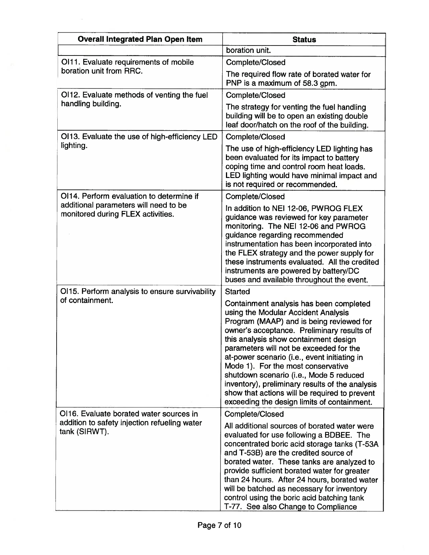| <b>Overall Integrated Plan Open Item</b>                                   | <b>Status</b>                                                                                                                                                                                                                                                                                                                                                                                                                                                                                                                                    |
|----------------------------------------------------------------------------|--------------------------------------------------------------------------------------------------------------------------------------------------------------------------------------------------------------------------------------------------------------------------------------------------------------------------------------------------------------------------------------------------------------------------------------------------------------------------------------------------------------------------------------------------|
|                                                                            | boration unit.                                                                                                                                                                                                                                                                                                                                                                                                                                                                                                                                   |
| OI11. Evaluate requirements of mobile                                      | Complete/Closed                                                                                                                                                                                                                                                                                                                                                                                                                                                                                                                                  |
| boration unit from RRC.                                                    | The required flow rate of borated water for<br>PNP is a maximum of 58.3 gpm.                                                                                                                                                                                                                                                                                                                                                                                                                                                                     |
| OI12. Evaluate methods of venting the fuel                                 | Complete/Closed                                                                                                                                                                                                                                                                                                                                                                                                                                                                                                                                  |
| handling building.                                                         | The strategy for venting the fuel handling<br>building will be to open an existing double<br>leaf door/hatch on the roof of the building.                                                                                                                                                                                                                                                                                                                                                                                                        |
| OI13. Evaluate the use of high-efficiency LED                              | Complete/Closed                                                                                                                                                                                                                                                                                                                                                                                                                                                                                                                                  |
| lighting.                                                                  | The use of high-efficiency LED lighting has<br>been evaluated for its impact to battery<br>coping time and control room heat loads.<br>LED lighting would have minimal impact and<br>is not required or recommended.                                                                                                                                                                                                                                                                                                                             |
| OI14. Perform evaluation to determine if                                   | Complete/Closed                                                                                                                                                                                                                                                                                                                                                                                                                                                                                                                                  |
| additional parameters will need to be<br>monitored during FLEX activities. | In addition to NEI 12-06, PWROG FLEX<br>guidance was reviewed for key parameter<br>monitoring. The NEI 12-06 and PWROG<br>guidance regarding recommended<br>instrumentation has been incorporated into<br>the FLEX strategy and the power supply for<br>these instruments evaluated. All the credited<br>instruments are powered by battery/DC<br>buses and available throughout the event.                                                                                                                                                      |
| OI15. Perform analysis to ensure survivability                             | <b>Started</b>                                                                                                                                                                                                                                                                                                                                                                                                                                                                                                                                   |
| of containment.                                                            | Containment analysis has been completed<br>using the Modular Accident Analysis<br>Program (MAAP) and is being reviewed for<br>owner's acceptance. Preliminary results of<br>this analysis show containment design<br>parameters will not be exceeded for the<br>at-power scenario (i.e., event initiating in<br>Mode 1). For the most conservative<br>shutdown scenario (i.e., Mode 5 reduced<br>inventory), preliminary results of the analysis<br>show that actions will be required to prevent<br>exceeding the design limits of containment. |
| OI16. Evaluate borated water sources in                                    | Complete/Closed                                                                                                                                                                                                                                                                                                                                                                                                                                                                                                                                  |
| addition to safety injection refueling water<br>tank (SIRWT).              | All additional sources of borated water were<br>evaluated for use following a BDBEE. The<br>concentrated boric acid storage tanks (T-53A<br>and T-53B) are the credited source of<br>borated water. These tanks are analyzed to<br>provide sufficient borated water for greater<br>than 24 hours. After 24 hours, borated water<br>will be batched as necessary for inventory<br>control using the boric acid batching tank<br>T-77. See also Change to Compliance                                                                               |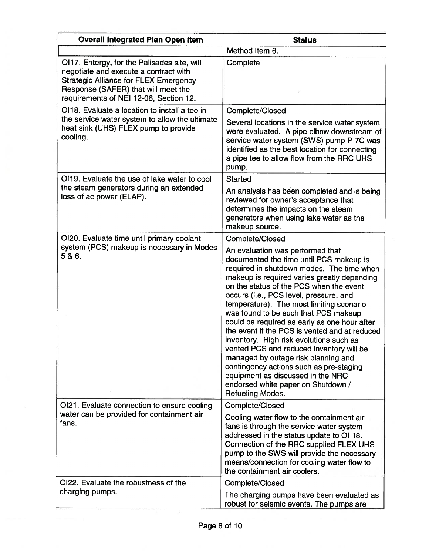| <b>Overall Integrated Plan Open Item</b>                                                                                                                                                                              | <b>Status</b>                                                                                                                                                                                                                                                                                                                                                                                                                                                                                                                                                                                                                                                                                                             |
|-----------------------------------------------------------------------------------------------------------------------------------------------------------------------------------------------------------------------|---------------------------------------------------------------------------------------------------------------------------------------------------------------------------------------------------------------------------------------------------------------------------------------------------------------------------------------------------------------------------------------------------------------------------------------------------------------------------------------------------------------------------------------------------------------------------------------------------------------------------------------------------------------------------------------------------------------------------|
|                                                                                                                                                                                                                       | Method Item 6.                                                                                                                                                                                                                                                                                                                                                                                                                                                                                                                                                                                                                                                                                                            |
| OI17. Entergy, for the Palisades site, will<br>negotiate and execute a contract with<br><b>Strategic Alliance for FLEX Emergency</b><br>Response (SAFER) that will meet the<br>requirements of NEI 12-06, Section 12. | Complete                                                                                                                                                                                                                                                                                                                                                                                                                                                                                                                                                                                                                                                                                                                  |
| OI18. Evaluate a location to install a tee in                                                                                                                                                                         | Complete/Closed                                                                                                                                                                                                                                                                                                                                                                                                                                                                                                                                                                                                                                                                                                           |
| the service water system to allow the ultimate<br>heat sink (UHS) FLEX pump to provide<br>cooling.                                                                                                                    | Several locations in the service water system<br>were evaluated. A pipe elbow downstream of<br>service water system (SWS) pump P-7C was<br>identified as the best location for connecting<br>a pipe tee to allow flow from the RRC UHS<br>pump.                                                                                                                                                                                                                                                                                                                                                                                                                                                                           |
| OI19. Evaluate the use of lake water to cool                                                                                                                                                                          | <b>Started</b>                                                                                                                                                                                                                                                                                                                                                                                                                                                                                                                                                                                                                                                                                                            |
| the steam generators during an extended<br>loss of ac power (ELAP).                                                                                                                                                   | An analysis has been completed and is being<br>reviewed for owner's acceptance that<br>determines the impacts on the steam<br>generators when using lake water as the<br>makeup source.                                                                                                                                                                                                                                                                                                                                                                                                                                                                                                                                   |
| OI20. Evaluate time until primary coolant                                                                                                                                                                             | Complete/Closed                                                                                                                                                                                                                                                                                                                                                                                                                                                                                                                                                                                                                                                                                                           |
| system (PCS) makeup is necessary in Modes<br>5& 6.                                                                                                                                                                    | An evaluation was performed that<br>documented the time until PCS makeup is<br>required in shutdown modes. The time when<br>makeup is required varies greatly depending<br>on the status of the PCS when the event<br>occurs (i.e., PCS level, pressure, and<br>temperature). The most limiting scenario<br>was found to be such that PCS makeup<br>could be required as early as one hour after<br>the event if the PCS is vented and at reduced<br>inventory. High risk evolutions such as<br>vented PCS and reduced inventory will be<br>managed by outage risk planning and<br>contingency actions such as pre-staging<br>equipment as discussed in the NRC<br>endorsed white paper on Shutdown /<br>Refueling Modes. |
| OI21. Evaluate connection to ensure cooling                                                                                                                                                                           | Complete/Closed                                                                                                                                                                                                                                                                                                                                                                                                                                                                                                                                                                                                                                                                                                           |
| water can be provided for containment air<br>fans.                                                                                                                                                                    | Cooling water flow to the containment air<br>fans is through the service water system<br>addressed in the status update to OI 18.<br>Connection of the RRC supplied FLEX UHS<br>pump to the SWS will provide the necessary<br>means/connection for cooling water flow to<br>the containment air coolers.                                                                                                                                                                                                                                                                                                                                                                                                                  |
| OI22. Evaluate the robustness of the                                                                                                                                                                                  | Complete/Closed                                                                                                                                                                                                                                                                                                                                                                                                                                                                                                                                                                                                                                                                                                           |
| charging pumps.                                                                                                                                                                                                       | The charging pumps have been evaluated as<br>robust for seismic events. The pumps are                                                                                                                                                                                                                                                                                                                                                                                                                                                                                                                                                                                                                                     |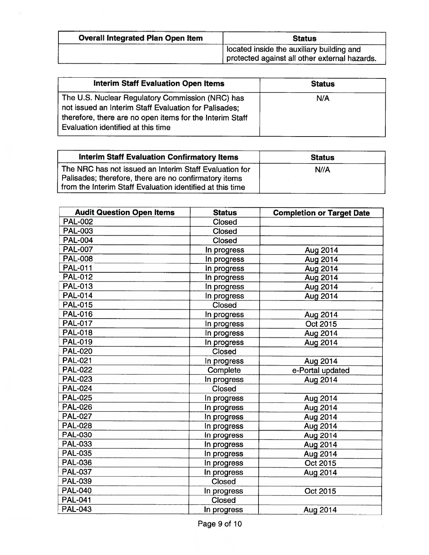| <b>Overall Integrated Plan Open Item</b> | <b>Status</b>                                                                              |  |
|------------------------------------------|--------------------------------------------------------------------------------------------|--|
|                                          | located inside the auxiliary building and<br>protected against all other external hazards. |  |

| <b>Interim Staff Evaluation Open Items</b>                                                                                                                                                                  | <b>Status</b> |
|-------------------------------------------------------------------------------------------------------------------------------------------------------------------------------------------------------------|---------------|
| The U.S. Nuclear Regulatory Commission (NRC) has<br>not issued an Interim Staff Evaluation for Palisades;<br>therefore, there are no open items for the Interim Staff<br>Evaluation identified at this time | N/A           |

| <b>Interim Staff Evaluation Confirmatory Items</b>                                                                                                                           | <b>Status</b> |
|------------------------------------------------------------------------------------------------------------------------------------------------------------------------------|---------------|
| The NRC has not issued an Interim Staff Evaluation for<br>Palisades; therefore, there are no confirmatory items<br>from the Interim Staff Evaluation identified at this time | N//A          |

| <b>Audit Question Open Items</b> | <b>Status</b> | <b>Completion or Target Date</b> |
|----------------------------------|---------------|----------------------------------|
| <b>PAL-002</b>                   | <b>Closed</b> |                                  |
| <b>PAL-003</b>                   | <b>Closed</b> |                                  |
| <b>PAL-004</b>                   | <b>Closed</b> |                                  |
| <b>PAL-007</b>                   | In progress   | Aug 2014                         |
| <b>PAL-008</b>                   | In progress   | Aug 2014                         |
| <b>PAL-011</b>                   | In progress   | Aug 2014                         |
| <b>PAL-012</b>                   | In progress   | Aug 2014                         |
| <b>PAL-013</b>                   | In progress   | Aug 2014<br>╱                    |
| <b>PAL-014</b>                   | In progress   | Aug 2014                         |
| <b>PAL-015</b>                   | <b>Closed</b> |                                  |
| <b>PAL-016</b>                   | In progress   | Aug 2014                         |
| <b>PAL-017</b>                   | In progress   | Oct 2015                         |
| <b>PAL-018</b>                   | In progress   | Aug 2014                         |
| <b>PAL-019</b>                   | In progress   | Aug 2014                         |
| <b>PAL-020</b>                   | <b>Closed</b> |                                  |
| <b>PAL-021</b>                   | In progress   | Aug 2014                         |
| <b>PAL-022</b>                   | Complete      | e-Portal updated                 |
| <b>PAL-023</b>                   | In progress   | Aug 2014                         |
| <b>PAL-024</b>                   | Closed        |                                  |
| <b>PAL-025</b>                   | In progress   | Aug 2014                         |
| <b>PAL-026</b>                   | In progress   | Aug 2014                         |
| <b>PAL-027</b>                   | In progress   | Aug 2014                         |
| <b>PAL-028</b>                   | In progress   | Aug 2014                         |
| <b>PAL-030</b>                   | In progress   | Aug 2014                         |
| <b>PAL-033</b>                   | In progress   | Aug 2014                         |
| <b>PAL-035</b>                   | In progress   | Aug 2014                         |
| <b>PAL-036</b>                   | In progress   | Oct 2015                         |
| <b>PAL-037</b>                   | In progress   | Aug 2014                         |
| <b>PAL-039</b>                   | Closed        |                                  |
| <b>PAL-040</b>                   | In progress   | Oct 2015                         |
| <b>PAL-041</b>                   | Closed        |                                  |
| <b>PAL-043</b>                   | In progress   | Aug 2014                         |